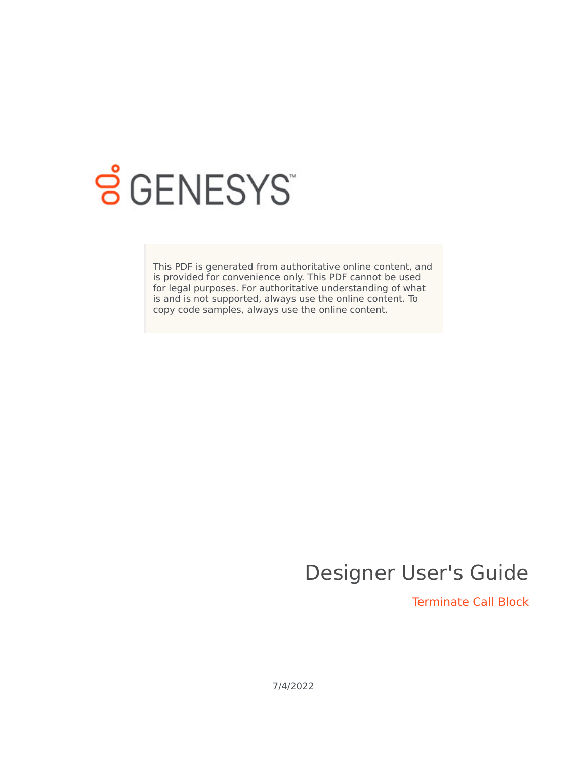

## **SGENESYS**

This PDF is generated from authoritative online content, and is provided for convenience only. This PDF cannot be used for legal purposes. For authoritative understanding of what is and is not supported, always use the online content. To copy code samples, always use the online content.

## Designer User's Guide

Terminate Call Block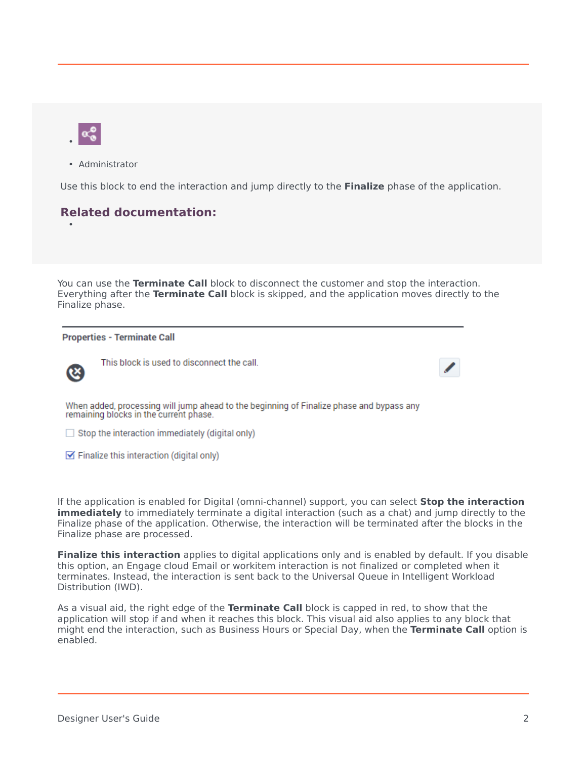

• Administrator

Use this block to end the interaction and jump directly to the **Finalize** phase of the application.

## **Related documentation:**

You can use the **Terminate Call** block to disconnect the customer and stop the interaction. Everything after the **Terminate Call** block is skipped, and the application moves directly to the Finalize phase.

## **Properties - Terminate Call**



•

This block is used to disconnect the call.

When added, processing will jump ahead to the beginning of Finalize phase and bypass any remaining blocks in the current phase.

 $\Box$  Stop the interaction immediately (digital only)

 $\triangleright$  Finalize this interaction (digital only)

If the application is enabled for Digital (omni-channel) support, you can select **Stop the interaction immediately** to immediately terminate a digital interaction (such as a chat) and jump directly to the Finalize phase of the application. Otherwise, the interaction will be terminated after the blocks in the Finalize phase are processed.

**Finalize this interaction** applies to digital applications only and is enabled by default. If you disable this option, an Engage cloud Email or workitem interaction is not finalized or completed when it terminates. Instead, the interaction is sent back to the Universal Queue in Intelligent Workload Distribution (IWD).

As a visual aid, the right edge of the **Terminate Call** block is capped in red, to show that the application will stop if and when it reaches this block. This visual aid also applies to any block that might end the interaction, such as Business Hours or Special Day, when the **Terminate Call** option is enabled.